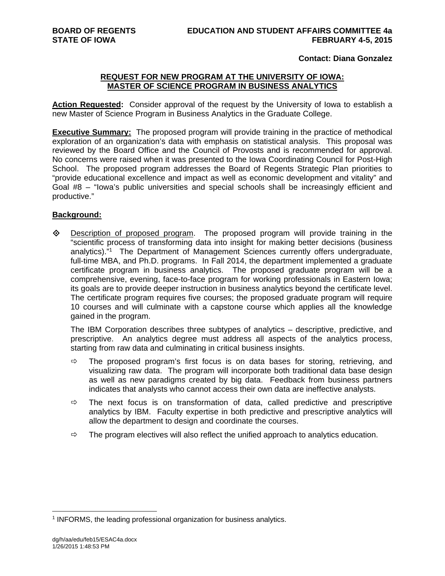# **Contact: Diana Gonzalez**

# **REQUEST FOR NEW PROGRAM AT THE UNIVERSITY OF IOWA: MASTER OF SCIENCE PROGRAM IN BUSINESS ANALYTICS**

**Action Requested:** Consider approval of the request by the University of Iowa to establish a new Master of Science Program in Business Analytics in the Graduate College.

**Executive Summary:** The proposed program will provide training in the practice of methodical exploration of an organization's data with emphasis on statistical analysis. This proposal was reviewed by the Board Office and the Council of Provosts and is recommended for approval. No concerns were raised when it was presented to the Iowa Coordinating Council for Post-High School. The proposed program addresses the Board of Regents Strategic Plan priorities to "provide educational excellence and impact as well as economic development and vitality" and Goal #8 – "Iowa's public universities and special schools shall be increasingly efficient and productive."

# **Background:**

 $\Diamond$  Description of proposed program. The proposed program will provide training in the "scientific process of transforming data into insight for making better decisions (business analytics)."1 The Department of Management Sciences currently offers undergraduate, full-time MBA, and Ph.D. programs. In Fall 2014, the department implemented a graduate certificate program in business analytics. The proposed graduate program will be a comprehensive, evening, face-to-face program for working professionals in Eastern Iowa; its goals are to provide deeper instruction in business analytics beyond the certificate level. The certificate program requires five courses; the proposed graduate program will require 10 courses and will culminate with a capstone course which applies all the knowledge gained in the program.

The IBM Corporation describes three subtypes of analytics – descriptive, predictive, and prescriptive. An analytics degree must address all aspects of the analytics process, starting from raw data and culminating in critical business insights.

- $\Rightarrow$  The proposed program's first focus is on data bases for storing, retrieving, and visualizing raw data. The program will incorporate both traditional data base design as well as new paradigms created by big data. Feedback from business partners indicates that analysts who cannot access their own data are ineffective analysts.
- $\Rightarrow$  The next focus is on transformation of data, called predictive and prescriptive analytics by IBM. Faculty expertise in both predictive and prescriptive analytics will allow the department to design and coordinate the courses.
- $\Rightarrow$  The program electives will also reflect the unified approach to analytics education.

 $\overline{a}$ 

<sup>&</sup>lt;sup>1</sup> INFORMS, the leading professional organization for business analytics.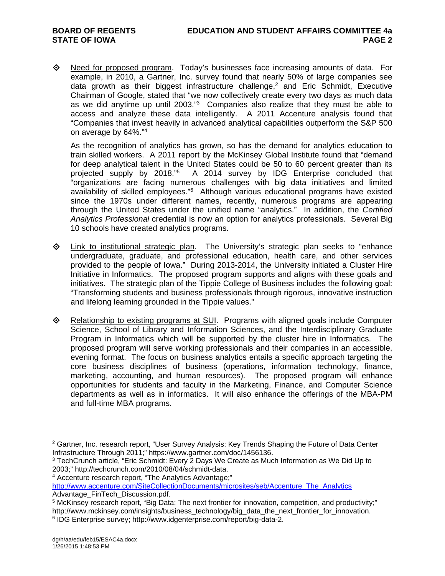◆ Need for proposed program. Today's businesses face increasing amounts of data. For example, in 2010, a Gartner, Inc. survey found that nearly 50% of large companies see data growth as their biggest infrastructure challenge,<sup>2</sup> and Eric Schmidt, Executive Chairman of Google, stated that "we now collectively create every two days as much data as we did anytime up until 2003."3 Companies also realize that they must be able to access and analyze these data intelligently. A 2011 Accenture analysis found that "Companies that invest heavily in advanced analytical capabilities outperform the S&P 500 on average by 64%."4

As the recognition of analytics has grown, so has the demand for analytics education to train skilled workers. A 2011 report by the McKinsey Global Institute found that "demand for deep analytical talent in the United States could be 50 to 60 percent greater than its projected supply by 2018."5 A 2014 survey by IDG Enterprise concluded that "organizations are facing numerous challenges with big data initiatives and limited availability of skilled employees."<sup>6</sup> Although various educational programs have existed since the 1970s under different names, recently, numerous programs are appearing through the United States under the unified name "analytics." In addition, the *Certified Analytics Professional* credential is now an option for analytics professionals. Several Big 10 schools have created analytics programs.

- $\Diamond$  Link to institutional strategic plan. The University's strategic plan seeks to "enhance undergraduate, graduate, and professional education, health care, and other services provided to the people of Iowa." During 2013-2014, the University initiated a Cluster Hire Initiative in Informatics. The proposed program supports and aligns with these goals and initiatives. The strategic plan of the Tippie College of Business includes the following goal: "Transforming students and business professionals through rigorous, innovative instruction and lifelong learning grounded in the Tippie values."
- Relationship to existing programs at SUI. Programs with aligned goals include Computer Science, School of Library and Information Sciences, and the Interdisciplinary Graduate Program in Informatics which will be supported by the cluster hire in Informatics. The proposed program will serve working professionals and their companies in an accessible, evening format. The focus on business analytics entails a specific approach targeting the core business disciplines of business (operations, information technology, finance, marketing, accounting, and human resources). The proposed program will enhance opportunities for students and faculty in the Marketing, Finance, and Computer Science departments as well as in informatics. It will also enhance the offerings of the MBA-PM and full-time MBA programs.

4 Accenture research report, "The Analytics Advantage;"

http://www.accenture.com/SiteCollectionDocuments/microsites/seb/Accenture\_The\_Analytics Advantage\_FinTech\_Discussion.pdf.

 $\overline{a}$ <sup>2</sup> Gartner, Inc. research report, "User Survey Analysis: Key Trends Shaping the Future of Data Center Infrastructure Through 2011;" https://www.gartner.com/doc/1456136.

<sup>3</sup> TechCrunch article, "Eric Schmidt: Every 2 Days We Create as Much Information as We Did Up to 2003;" http://techcrunch.com/2010/08/04/schmidt-data.

<sup>5</sup> McKinsey research report, "Big Data: The next frontier for innovation, competition, and productivity;" http://www.mckinsey.com/insights/business\_technology/big\_data\_the\_next\_frontier\_for\_innovation. 6 IDG Enterprise survey; http://www.idgenterprise.com/report/big-data-2.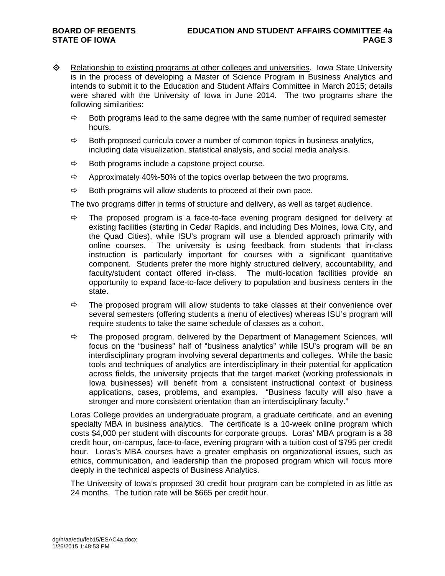- $\Leftrightarrow$  Relationship to existing programs at other colleges and universities. Iowa State University is in the process of developing a Master of Science Program in Business Analytics and intends to submit it to the Education and Student Affairs Committee in March 2015; details were shared with the University of Iowa in June 2014. The two programs share the following similarities:
	- $\Rightarrow$  Both programs lead to the same degree with the same number of required semester hours.
	- $\Rightarrow$  Both proposed curricula cover a number of common topics in business analytics, including data visualization, statistical analysis, and social media analysis.
	- $\Rightarrow$  Both programs include a capstone project course.
	- $\Rightarrow$  Approximately 40%-50% of the topics overlap between the two programs.
	- $\Rightarrow$  Both programs will allow students to proceed at their own pace.

The two programs differ in terms of structure and delivery, as well as target audience.

- $\Rightarrow$  The proposed program is a face-to-face evening program designed for delivery at existing facilities (starting in Cedar Rapids, and including Des Moines, Iowa City, and the Quad Cities), while ISU's program will use a blended approach primarily with online courses. The university is using feedback from students that in-class instruction is particularly important for courses with a significant quantitative component. Students prefer the more highly structured delivery, accountability, and faculty/student contact offered in-class. The multi-location facilities provide an opportunity to expand face-to-face delivery to population and business centers in the state.
- $\Rightarrow$  The proposed program will allow students to take classes at their convenience over several semesters (offering students a menu of electives) whereas ISU's program will require students to take the same schedule of classes as a cohort.
- $\Rightarrow$  The proposed program, delivered by the Department of Management Sciences, will focus on the "business" half of "business analytics" while ISU's program will be an interdisciplinary program involving several departments and colleges. While the basic tools and techniques of analytics are interdisciplinary in their potential for application across fields, the university projects that the target market (working professionals in Iowa businesses) will benefit from a consistent instructional context of business applications, cases, problems, and examples. "Business faculty will also have a stronger and more consistent orientation than an interdisciplinary faculty."

Loras College provides an undergraduate program, a graduate certificate, and an evening specialty MBA in business analytics. The certificate is a 10-week online program which costs \$4,000 per student with discounts for corporate groups. Loras' MBA program is a 38 credit hour, on-campus, face-to-face, evening program with a tuition cost of \$795 per credit hour. Loras's MBA courses have a greater emphasis on organizational issues, such as ethics, communication, and leadership than the proposed program which will focus more deeply in the technical aspects of Business Analytics.

The University of Iowa's proposed 30 credit hour program can be completed in as little as 24 months. The tuition rate will be \$665 per credit hour.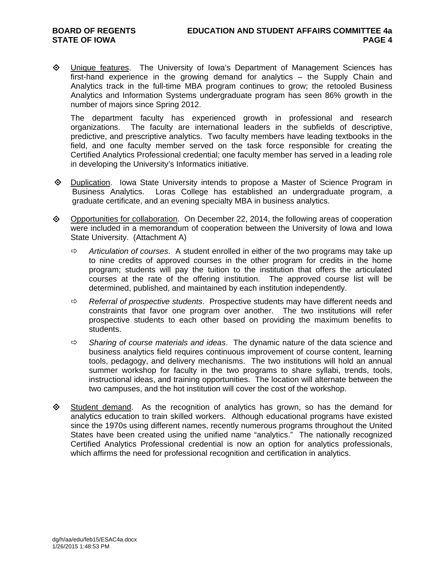$\diamond$  Unique features. The University of Iowa's Department of Management Sciences has first-hand experience in the growing demand for analytics – the Supply Chain and Analytics track in the full-time MBA program continues to grow; the retooled Business Analytics and Information Systems undergraduate program has seen 86% growth in the number of majors since Spring 2012.

The department faculty has experienced growth in professional and research organizations. The faculty are international leaders in the subfields of descriptive, predictive, and prescriptive analytics. Two faculty members have leading textbooks in the field, and one faculty member served on the task force responsible for creating the Certified Analytics Professional credential; one faculty member has served in a leading role in developing the University's Informatics initiative.

- $\Diamond$  Duplication. Iowa State University intends to propose a Master of Science Program in Business Analytics. Loras College has established an undergraduate program, a graduate certificate, and an evening specialty MBA in business analytics.
- ◆ Opportunities for collaboration. On December 22, 2014, the following areas of cooperation were included in a memorandum of cooperation between the University of Iowa and Iowa State University. (Attachment A)
	- *Articulation of courses*. A student enrolled in either of the two programs may take up to nine credits of approved courses in the other program for credits in the home program; students will pay the tuition to the institution that offers the articulated courses at the rate of the offering institution. The approved course list will be determined, published, and maintained by each institution independently.
	- *Referral of prospective students*. Prospective students may have different needs and constraints that favor one program over another. The two institutions will refer prospective students to each other based on providing the maximum benefits to students.
	- *Sharing of course materials and ideas*. The dynamic nature of the data science and business analytics field requires continuous improvement of course content, learning tools, pedagogy, and delivery mechanisms. The two institutions will hold an annual summer workshop for faculty in the two programs to share syllabi, trends, tools, instructional ideas, and training opportunities. The location will alternate between the two campuses, and the hot institution will cover the cost of the workshop.
- $\diamond$  Student demand. As the recognition of analytics has grown, so has the demand for analytics education to train skilled workers. Although educational programs have existed since the 1970s using different names, recently numerous programs throughout the United States have been created using the unified name "analytics." The nationally recognized Certified Analytics Professional credential is now an option for analytics professionals, which affirms the need for professional recognition and certification in analytics.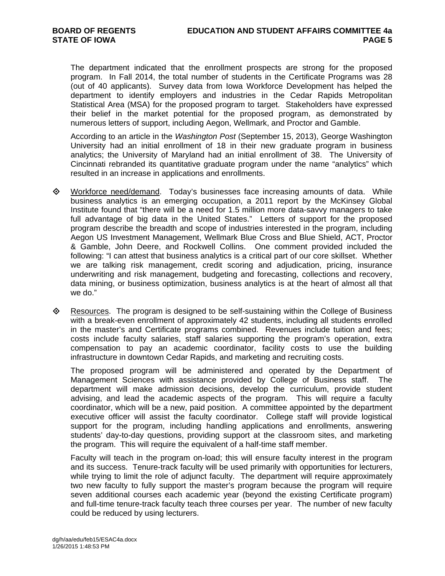The department indicated that the enrollment prospects are strong for the proposed program. In Fall 2014, the total number of students in the Certificate Programs was 28 (out of 40 applicants). Survey data from Iowa Workforce Development has helped the department to identify employers and industries in the Cedar Rapids Metropolitan Statistical Area (MSA) for the proposed program to target. Stakeholders have expressed their belief in the market potential for the proposed program, as demonstrated by numerous letters of support, including Aegon, Wellmark, and Proctor and Gamble.

According to an article in the *Washington Post* (September 15, 2013), George Washington University had an initial enrollment of 18 in their new graduate program in business analytics; the University of Maryland had an initial enrollment of 38. The University of Cincinnati rebranded its quantitative graduate program under the name "analytics" which resulted in an increase in applications and enrollments.

- Workforce need/demand. Today's businesses face increasing amounts of data. While business analytics is an emerging occupation, a 2011 report by the McKinsey Global Institute found that "there will be a need for 1.5 million more data-savvy managers to take full advantage of big data in the United States." Letters of support for the proposed program describe the breadth and scope of industries interested in the program, including Aegon US Investment Management, Wellmark Blue Cross and Blue Shield, ACT, Proctor & Gamble, John Deere, and Rockwell Collins. One comment provided included the following: "I can attest that business analytics is a critical part of our core skillset. Whether we are talking risk management, credit scoring and adjudication, pricing, insurance underwriting and risk management, budgeting and forecasting, collections and recovery, data mining, or business optimization, business analytics is at the heart of almost all that we do."
- $\Diamond$  Resources. The program is designed to be self-sustaining within the College of Business with a break-even enrollment of approximately 42 students, including all students enrolled in the master's and Certificate programs combined. Revenues include tuition and fees; costs include faculty salaries, staff salaries supporting the program's operation, extra compensation to pay an academic coordinator, facility costs to use the building infrastructure in downtown Cedar Rapids, and marketing and recruiting costs.

The proposed program will be administered and operated by the Department of Management Sciences with assistance provided by College of Business staff. The department will make admission decisions, develop the curriculum, provide student advising, and lead the academic aspects of the program. This will require a faculty coordinator, which will be a new, paid position. A committee appointed by the department executive officer will assist the faculty coordinator. College staff will provide logistical support for the program, including handling applications and enrollments, answering students' day-to-day questions, providing support at the classroom sites, and marketing the program. This will require the equivalent of a half-time staff member.

Faculty will teach in the program on-load; this will ensure faculty interest in the program and its success. Tenure-track faculty will be used primarily with opportunities for lecturers, while trying to limit the role of adjunct faculty. The department will require approximately two new faculty to fully support the master's program because the program will require seven additional courses each academic year (beyond the existing Certificate program) and full-time tenure-track faculty teach three courses per year. The number of new faculty could be reduced by using lecturers.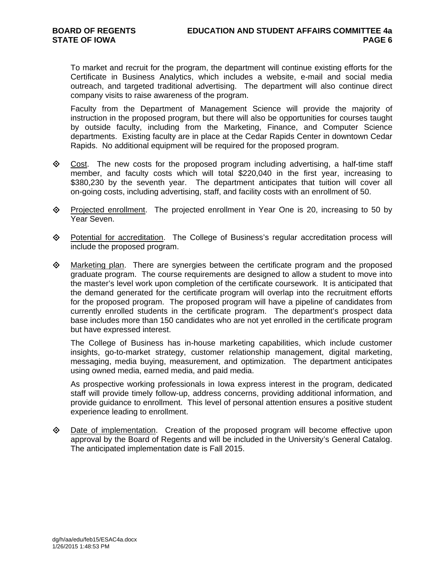To market and recruit for the program, the department will continue existing efforts for the Certificate in Business Analytics, which includes a website, e-mail and social media outreach, and targeted traditional advertising. The department will also continue direct company visits to raise awareness of the program.

Faculty from the Department of Management Science will provide the majority of instruction in the proposed program, but there will also be opportunities for courses taught by outside faculty, including from the Marketing, Finance, and Computer Science departments. Existing faculty are in place at the Cedar Rapids Center in downtown Cedar Rapids. No additional equipment will be required for the proposed program.

- Cost. The new costs for the proposed program including advertising, a half-time staff member, and faculty costs which will total \$220,040 in the first year, increasing to \$380,230 by the seventh year. The department anticipates that tuition will cover all on-going costs, including advertising, staff, and facility costs with an enrollment of 50.
- $\diamond$  Projected enrollment. The projected enrollment in Year One is 20, increasing to 50 by Year Seven.
- Potential for accreditation. The College of Business's regular accreditation process will include the proposed program.
- $\diamond$  Marketing plan. There are synergies between the certificate program and the proposed graduate program. The course requirements are designed to allow a student to move into the master's level work upon completion of the certificate coursework. It is anticipated that the demand generated for the certificate program will overlap into the recruitment efforts for the proposed program. The proposed program will have a pipeline of candidates from currently enrolled students in the certificate program. The department's prospect data base includes more than 150 candidates who are not yet enrolled in the certificate program but have expressed interest.

The College of Business has in-house marketing capabilities, which include customer insights, go-to-market strategy, customer relationship management, digital marketing, messaging, media buying, measurement, and optimization. The department anticipates using owned media, earned media, and paid media.

As prospective working professionals in Iowa express interest in the program, dedicated staff will provide timely follow-up, address concerns, providing additional information, and provide guidance to enrollment. This level of personal attention ensures a positive student experience leading to enrollment.

**Examplementation.** Creation of the proposed program will become effective upon approval by the Board of Regents and will be included in the University's General Catalog. The anticipated implementation date is Fall 2015.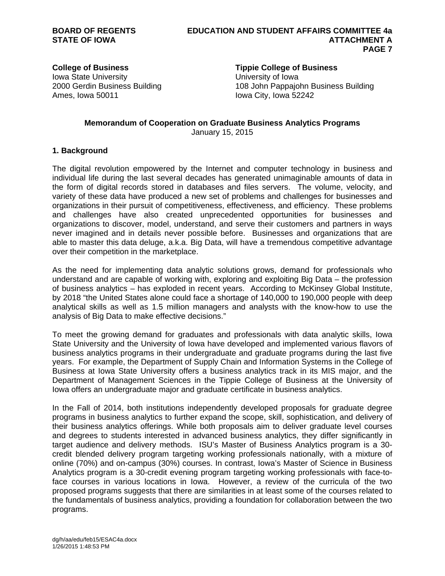Iowa State University University of Iowa Ames, Iowa 50011 **Iowa City**, Iowa 52242

# **College of Business Tippie College of Business**

2000 Gerdin Business Building 108 John Pappajohn Business Building

#### **Memorandum of Cooperation on Graduate Business Analytics Programs**  January 15, 2015

# **1. Background**

The digital revolution empowered by the Internet and computer technology in business and individual life during the last several decades has generated unimaginable amounts of data in the form of digital records stored in databases and files servers. The volume, velocity, and variety of these data have produced a new set of problems and challenges for businesses and organizations in their pursuit of competitiveness, effectiveness, and efficiency. These problems and challenges have also created unprecedented opportunities for businesses and organizations to discover, model, understand, and serve their customers and partners in ways never imagined and in details never possible before. Businesses and organizations that are able to master this data deluge, a.k.a. Big Data, will have a tremendous competitive advantage over their competition in the marketplace.

As the need for implementing data analytic solutions grows, demand for professionals who understand and are capable of working with, exploring and exploiting Big Data – the profession of business analytics – has exploded in recent years. According to McKinsey Global Institute, by 2018 "the United States alone could face a shortage of 140,000 to 190,000 people with deep analytical skills as well as 1.5 million managers and analysts with the know-how to use the analysis of Big Data to make effective decisions."

To meet the growing demand for graduates and professionals with data analytic skills, Iowa State University and the University of Iowa have developed and implemented various flavors of business analytics programs in their undergraduate and graduate programs during the last five years. For example, the Department of Supply Chain and Information Systems in the College of Business at Iowa State University offers a business analytics track in its MIS major, and the Department of Management Sciences in the Tippie College of Business at the University of Iowa offers an undergraduate major and graduate certificate in business analytics.

In the Fall of 2014, both institutions independently developed proposals for graduate degree programs in business analytics to further expand the scope, skill, sophistication, and delivery of their business analytics offerings. While both proposals aim to deliver graduate level courses and degrees to students interested in advanced business analytics, they differ significantly in target audience and delivery methods. ISU's Master of Business Analytics program is a 30 credit blended delivery program targeting working professionals nationally, with a mixture of online (70%) and on-campus (30%) courses. In contrast, Iowa's Master of Science in Business Analytics program is a 30-credit evening program targeting working professionals with face-toface courses in various locations in Iowa. However, a review of the curricula of the two proposed programs suggests that there are similarities in at least some of the courses related to the fundamentals of business analytics, providing a foundation for collaboration between the two programs.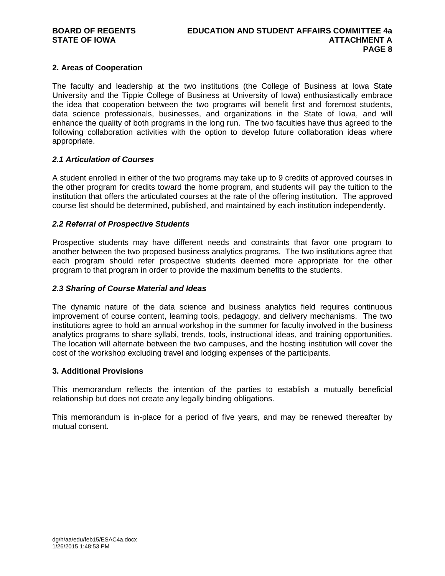# **2. Areas of Cooperation**

The faculty and leadership at the two institutions (the College of Business at Iowa State University and the Tippie College of Business at University of Iowa) enthusiastically embrace the idea that cooperation between the two programs will benefit first and foremost students, data science professionals, businesses, and organizations in the State of Iowa, and will enhance the quality of both programs in the long run. The two faculties have thus agreed to the following collaboration activities with the option to develop future collaboration ideas where appropriate.

# *2.1 Articulation of Courses*

A student enrolled in either of the two programs may take up to 9 credits of approved courses in the other program for credits toward the home program, and students will pay the tuition to the institution that offers the articulated courses at the rate of the offering institution. The approved course list should be determined, published, and maintained by each institution independently.

# *2.2 Referral of Prospective Students*

Prospective students may have different needs and constraints that favor one program to another between the two proposed business analytics programs. The two institutions agree that each program should refer prospective students deemed more appropriate for the other program to that program in order to provide the maximum benefits to the students.

# *2.3 Sharing of Course Material and Ideas*

The dynamic nature of the data science and business analytics field requires continuous improvement of course content, learning tools, pedagogy, and delivery mechanisms. The two institutions agree to hold an annual workshop in the summer for faculty involved in the business analytics programs to share syllabi, trends, tools, instructional ideas, and training opportunities. The location will alternate between the two campuses, and the hosting institution will cover the cost of the workshop excluding travel and lodging expenses of the participants.

# **3. Additional Provisions**

This memorandum reflects the intention of the parties to establish a mutually beneficial relationship but does not create any legally binding obligations.

This memorandum is in-place for a period of five years, and may be renewed thereafter by mutual consent.